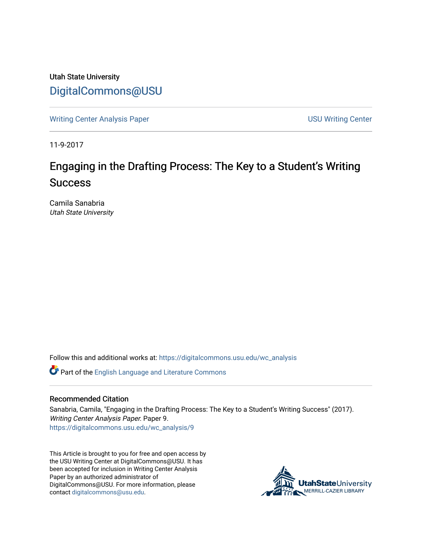Utah State University [DigitalCommons@USU](https://digitalcommons.usu.edu/)

[Writing Center Analysis Paper](https://digitalcommons.usu.edu/wc_analysis) National Communication of the USU Writing Center

11-9-2017

# Engaging in the Drafting Process: The Key to a Student's Writing **Success**

Camila Sanabria Utah State University

Follow this and additional works at: [https://digitalcommons.usu.edu/wc\\_analysis](https://digitalcommons.usu.edu/wc_analysis?utm_source=digitalcommons.usu.edu%2Fwc_analysis%2F9&utm_medium=PDF&utm_campaign=PDFCoverPages) 

Part of the [English Language and Literature Commons](http://network.bepress.com/hgg/discipline/455?utm_source=digitalcommons.usu.edu%2Fwc_analysis%2F9&utm_medium=PDF&utm_campaign=PDFCoverPages)

## Recommended Citation

Sanabria, Camila, "Engaging in the Drafting Process: The Key to a Student's Writing Success" (2017). Writing Center Analysis Paper. Paper 9. [https://digitalcommons.usu.edu/wc\\_analysis/9](https://digitalcommons.usu.edu/wc_analysis/9?utm_source=digitalcommons.usu.edu%2Fwc_analysis%2F9&utm_medium=PDF&utm_campaign=PDFCoverPages) 

This Article is brought to you for free and open access by the USU Writing Center at DigitalCommons@USU. It has been accepted for inclusion in Writing Center Analysis Paper by an authorized administrator of DigitalCommons@USU. For more information, please contact [digitalcommons@usu.edu](mailto:digitalcommons@usu.edu).

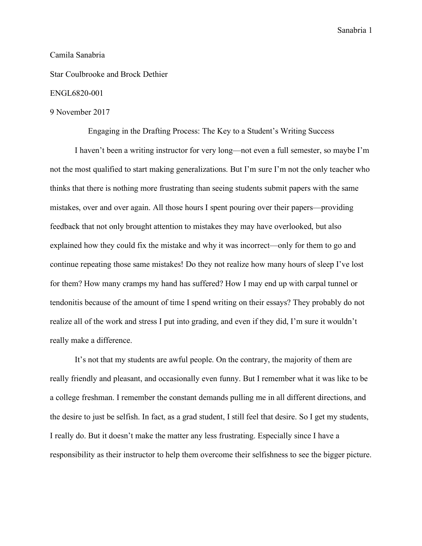## Camila Sanabria

Star Coulbrooke and Brock Dethier

## ENGL6820-001

#### 9 November 2017

Engaging in the Drafting Process: The Key to a Student's Writing Success

I haven't been a writing instructor for very long—not even a full semester, so maybe I'm not the most qualified to start making generalizations. But I'm sure I'm not the only teacher who thinks that there is nothing more frustrating than seeing students submit papers with the same mistakes, over and over again. All those hours I spent pouring over their papers—providing feedback that not only brought attention to mistakes they may have overlooked, but also explained how they could fix the mistake and why it was incorrect—only for them to go and continue repeating those same mistakes! Do they not realize how many hours of sleep I've lost for them? How many cramps my hand has suffered? How I may end up with carpal tunnel or tendonitis because of the amount of time I spend writing on their essays? They probably do not realize all of the work and stress I put into grading, and even if they did, I'm sure it wouldn't really make a difference.

It's not that my students are awful people. On the contrary, the majority of them are really friendly and pleasant, and occasionally even funny. But I remember what it was like to be a college freshman. I remember the constant demands pulling me in all different directions, and the desire to just be selfish. In fact, as a grad student, I still feel that desire. So I get my students, I really do. But it doesn't make the matter any less frustrating. Especially since I have a responsibility as their instructor to help them overcome their selfishness to see the bigger picture.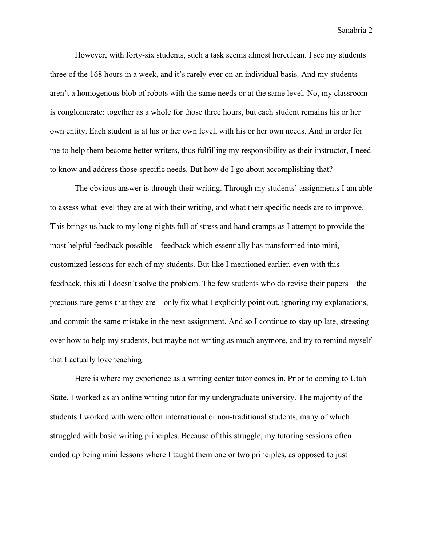However, with forty-six students, such a task seems almost herculean. I see my students three of the 168 hours in a week, and it's rarely ever on an individual basis. And my students aren't a homogenous blob of robots with the same needs or at the same level. No, my classroom is conglomerate: together as a whole for those three hours, but each student remains his or her own entity. Each student is at his or her own level, with his or her own needs. And in order for me to help them become better writers, thus fulfilling my responsibility as their instructor, I need to know and address those specific needs. But how do I go about accomplishing that?

The obvious answer is through their writing. Through my students' assignments I am able to assess what level they are at with their writing, and what their specific needs are to improve. This brings us back to my long nights full of stress and hand cramps as I attempt to provide the most helpful feedback possible—feedback which essentially has transformed into mini, customized lessons for each of my students. But like I mentioned earlier, even with this feedback, this still doesn't solve the problem. The few students who do revise their papers—the precious rare gems that they are—only fix what I explicitly point out, ignoring my explanations, and commit the same mistake in the next assignment. And so I continue to stay up late, stressing over how to help my students, but maybe not writing as much anymore, and try to remind myself that I actually love teaching.

Here is where my experience as a writing center tutor comes in. Prior to coming to Utah State, I worked as an online writing tutor for my undergraduate university. The majority of the students I worked with were often international or non-traditional students, many of which struggled with basic writing principles. Because of this struggle, my tutoring sessions often ended up being mini lessons where I taught them one or two principles, as opposed to just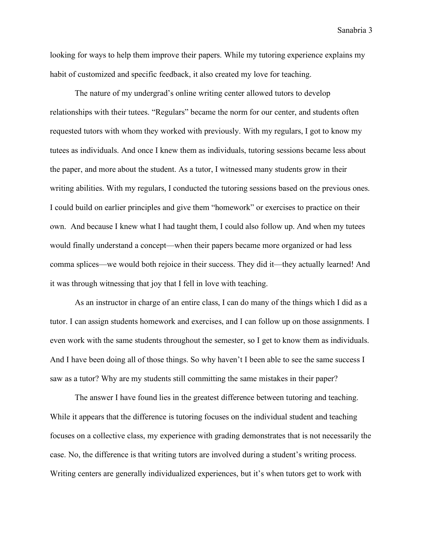looking for ways to help them improve their papers. While my tutoring experience explains my habit of customized and specific feedback, it also created my love for teaching.

The nature of my undergrad's online writing center allowed tutors to develop relationships with their tutees. "Regulars" became the norm for our center, and students often requested tutors with whom they worked with previously. With my regulars, I got to know my tutees as individuals. And once I knew them as individuals, tutoring sessions became less about the paper, and more about the student. As a tutor, I witnessed many students grow in their writing abilities. With my regulars, I conducted the tutoring sessions based on the previous ones. I could build on earlier principles and give them "homework" or exercises to practice on their own. And because I knew what I had taught them, I could also follow up. And when my tutees would finally understand a concept—when their papers became more organized or had less comma splices—we would both rejoice in their success. They did it—they actually learned! And it was through witnessing that joy that I fell in love with teaching.

As an instructor in charge of an entire class, I can do many of the things which I did as a tutor. I can assign students homework and exercises, and I can follow up on those assignments. I even work with the same students throughout the semester, so I get to know them as individuals. And I have been doing all of those things. So why haven't I been able to see the same success I saw as a tutor? Why are my students still committing the same mistakes in their paper?

The answer I have found lies in the greatest difference between tutoring and teaching. While it appears that the difference is tutoring focuses on the individual student and teaching focuses on a collective class, my experience with grading demonstrates that is not necessarily the case. No, the difference is that writing tutors are involved during a student's writing process. Writing centers are generally individualized experiences, but it's when tutors get to work with